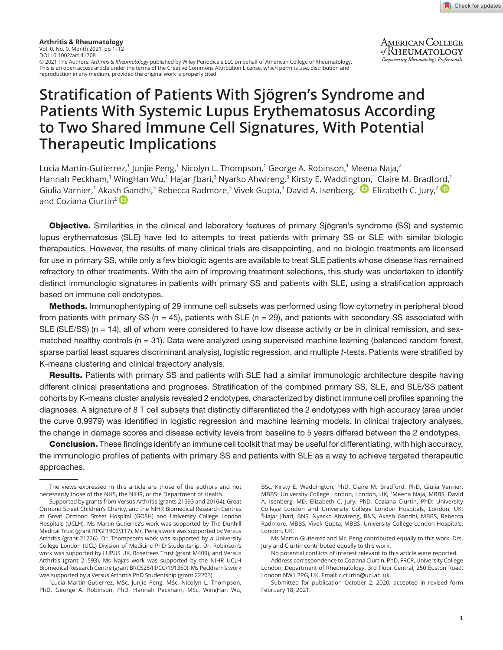

**AMERICAN COLLEGE** of RHEUMATOLOGY **Empowering Rheumatology Professionals** 

**Arthritis & Rheumatology** Vol. 0, No. 0, Month 2021, pp 1–12 DOI 10.1002/art.41708 © 2021 The Authors. *Arthritis & Rheumatology* published by Wiley Periodicals LLC on behalf of American College of Rheumatology. This is an open access article under the terms of the [Creative Commons Attribution](http://creativecommons.org/licenses/by/4.0/) License, which permits use, distribution and reproduction in any medium, provided the original work is properly cited.

# **Stratification of Patients With Sjögren's Syndrome and Patients With Systemic Lupus Erythematosus According to Two Shared Immune Cell Signatures, With Potential Therapeutic Implications**

Lucia Martin-Gutierrez,<sup>1</sup> Junjie Peng,<sup>1</sup> Nicolyn L. Thompson,<sup>1</sup> George A. Robinson,<sup>1</sup> Meena Naja,<sup>2</sup> Hannah Peckham,<sup>1</sup> WingHan Wu,<sup>1</sup> Hajar J'bari,<sup>3</sup> Nyarko Ahwireng,<sup>3</sup> Kirsty E. Wadding[ton](https://orcid.org/0000-0001-9514-2455),<sup>1</sup> Claire M. Bradf[ord,](https://orcid.org/0000-0002-2389-3396)<sup>1</sup> Giulia Varnier,<sup>1</sup> Akas[h Ga](https://orcid.org/0000-0002-8911-4113)ndhi,<sup>3</sup> Rebecca Radmore,<sup>3</sup> Vivek Gupta,<sup>3</sup> David A. Isenberg,<sup>2</sup> D Elizabeth C. Jury,<sup>2</sup> D and Coziana Ciurtin<sup>2</sup>

Objective. Similarities in the clinical and laboratory features of primary Sjögren's syndrome (SS) and systemic lupus erythematosus (SLE) have led to attempts to treat patients with primary SS or SLE with similar biologic therapeutics. However, the results of many clinical trials are disappointing, and no biologic treatments are licensed for use in primary SS, while only a few biologic agents are available to treat SLE patients whose disease has remained refractory to other treatments. With the aim of improving treatment selections, this study was undertaken to identify distinct immunologic signatures in patients with primary SS and patients with SLE, using a stratification approach based on immune cell endotypes.

Methods. Immunophentyping of 29 immune cell subsets was performed using flow cytometry in peripheral blood from patients with primary SS ( $n = 45$ ), patients with SLE ( $n = 29$ ), and patients with secondary SS associated with SLE (SLE/SS) (n = 14), all of whom were considered to have low disease activity or be in clinical remission, and sexmatched healthy controls (n = 31). Data were analyzed using supervised machine learning (balanced random forest, sparse partial least squares discriminant analysis), logistic regression, and multiple *t*-tests. Patients were stratified by K-means clustering and clinical trajectory analysis.

Results. Patients with primary SS and patients with SLE had a similar immunologic architecture despite having different clinical presentations and prognoses. Stratification of the combined primary SS, SLE, and SLE/SS patient cohorts by K-means cluster analysis revealed 2 endotypes, characterized by distinct immune cell profiles spanning the diagnoses. A signature of 8 T cell subsets that distinctly differentiated the 2 endotypes with high accuracy (area under the curve 0.9979) was identified in logistic regression and machine learning models. In clinical trajectory analyses, the change in damage scores and disease activity levels from baseline to 5 years differed between the 2 endotypes.

**Conclusion.** These findings identify an immune cell toolkit that may be useful for differentiating, with high accuracy, the immunologic profiles of patients with primary SS and patients with SLE as a way to achieve targeted therapeutic approaches.

1 Lucia Martin-Gutierrez, MSc, Junjie Peng, MSc, Nicolyn L. Thompson, PhD, George A. Robinson, PhD, Hannah Peckham, MSc, WingHan Wu, BSc, Kirsty E. Waddington, PhD, Claire M. Bradford, PhD, Giulia Varnier, MBBS: University College London, London, UK; <sup>2</sup>Meena Naja, MBBS, David A. Isenberg, MD, Elizabeth C. Jury, PhD, Coziana Ciurtin, PhD: University College London and University College London Hospitals, London, UK; 3 Hajar J'bari, BNS, Nyarko Ahwireng, BNS, Akash Gandhi, MBBS, Rebecca Radmore, MBBS, Vivek Gupta, MBBS: University College London Hospitals, London, UK.

Ms Martin-Gutierrez and Mr. Peng contributed equally to this work. Drs. Jury and Ciurtin contributed equally to this work.

No potential conflicts of interest relevant to this article were reported. Address correspondence to Coziana Ciurtin, PhD, FRCP, University College

London, Department of Rheumatology, 3rd Floor Central, 250 Euston Road, London NW1 2PG, UK. Email: [c.ciurtin@ucl.ac.](mailto:c.ciurtin@ucl.ac.﻿ ﻿uk) uk.

Submitted for publication October 2, 2020; accepted in revised form February 18, 2021.

The views expressed in this article are those of the authors and not necessarily those of the NHS, the NIHR, or the Department of Health.

Supported by grants from Versus Arthritis (grants 21593 and 20164), Great Ormond Street Children's Charity, and the NIHR Biomedical Research Centres at Great Ormond Street Hospital (GOSH) and University College London Hospitals (UCLH). Ms Martin-Gutierrez's work was supported by The Dunhill Medical Trust (grant RPGF1902\117). Mr. Peng's work was supported by Versus Arthritis (grant 21226). Dr. Thompson's work was supported by a University College London (UCL) Division of Medicine PhD Studentship. Dr. Robinson's work was supported by LUPUS UK, Rosetrees Trust (grant M409), and Versus Arthritis (grant 21593). Ms Naja's work was supported by the NIHR UCLH Biomedical Research Centre (grant BRC525/III/CC/191350). Ms Peckham's work was supported by a Versus Arthritis PhD Studentship (grant 22203).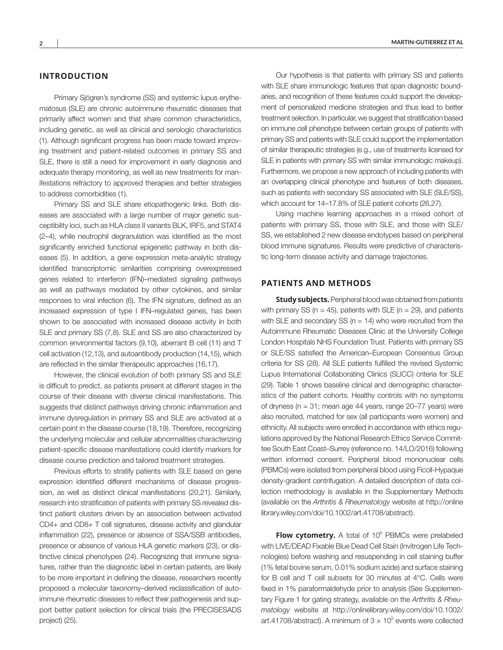## **INTRODUCTION**

Primary Sjögren's syndrome (SS) and systemic lupus erythematosus (SLE) are chronic autoimmune rheumatic diseases that primarily affect women and that share common characteristics, including genetic, as well as clinical and serologic characteristics (1). Although significant progress has been made toward improving treatment and patient-related outcomes in primary SS and SLE, there is still a need for improvement in early diagnosis and adequate therapy monitoring, as well as new treatments for manifestations refractory to approved therapies and better strategies to address comorbidities (1).

Primary SS and SLE share etiopathogenic links. Both diseases are associated with a large number of major genetic susceptibility loci, such as HLA class II variants BLK, IRF5, and STAT4 (2–4), while neutrophil degranulation was identified as the most significantly enriched functional epigenetic pathway in both diseases (5). In addition, a gene expression meta-analytic strategy identified transcriptomic similarities comprising overexpressed genes related to interferon (IFN)–mediated signaling pathways as well as pathways mediated by other cytokines, and similar responses to viral infection (6). The IFN signature, defined as an increased expression of type I IFN–regulated genes, has been shown to be associated with increased disease activity in both SLE and primary SS (7,8). SLE and SS are also characterized by common environmental factors (9,10), aberrant B cell (11) and T cell activation (12,13), and autoantibody production (14,15), which are reflected in the similar therapeutic approaches (16,17).

However, the clinical evolution of both primary SS and SLE is difficult to predict, as patients present at different stages in the course of their disease with diverse clinical manifestations. This suggests that distinct pathways driving chronic inflammation and immune dysregulation in primary SS and SLE are activated at a certain point in the disease course (18,19). Therefore, recognizing the underlying molecular and cellular abnormalities characterizing patient-specific disease manifestations could identify markers for disease course prediction and tailored treatment strategies.

Previous efforts to stratify patients with SLE based on gene expression identified different mechanisms of disease progression, as well as distinct clinical manifestations (20,21). Similarly, research into stratification of patients with primary SS revealed distinct patient clusters driven by an association between activated CD4+ and CD8+ T cell signatures, disease activity and glandular inflammation (22), presence or absence of SSA/SSB antibodies, presence or absence of various HLA genetic markers (23), or distinctive clinical phenotypes (24). Recognizing that immune signatures, rather than the diagnostic label in certain patients, are likely to be more important in defining the disease, researchers recently proposed a molecular taxonomy–derived reclassification of autoimmune rheumatic diseases to reflect their pathogenesis and support better patient selection for clinical trials (the PRECISESADS project) (25).

Our hypothesis is that patients with primary SS and patients with SLE share immunologic features that span diagnostic boundaries, and recognition of these features could support the development of personalized medicine strategies and thus lead to better treatment selection. In particular, we suggest that stratification based on immune cell phenotype between certain groups of patients with primary SS and patients with SLE could support the implementation of similar therapeutic strategies (e.g., use of treatments licensed for SLE in patients with primary SS with similar immunologic makeup). Furthermore, we propose a new approach of including patients with an overlapping clinical phenotype and features of both diseases, such as patients with secondary SS associated with SLE (SLE/SS), which account for 14–17.8% of SLE patient cohorts (26,27).

Using machine learning approaches in a mixed cohort of patients with primary SS, those with SLE, and those with SLE/ SS, we established 2 new disease endotypes based on peripheral blood immune signatures. Results were predictive of characteristic long-term disease activity and damage trajectories.

## **PATIENTS AND METHODS**

**Study subjects.** Peripheral blood was obtained from patients with primary SS ( $n = 45$ ), patients with SLE ( $n = 29$ ), and patients with SLE and secondary SS ( $n = 14$ ) who were recruited from the Autoimmune Rheumatic Diseases Clinic at the University College London Hospitals NHS Foundation Trust. Patients with primary SS or SLE/SS satisfied the American–European Consensus Group criteria for SS (28). All SLE patients fulfilled the revised Systemic Lupus International Collaborating Clinics (SLICC) criteria for SLE (29). Table 1 shows baseline clinical and demographic characteristics of the patient cohorts. Healthy controls with no symptoms of dryness (n = 31; mean age 44 years, range 20–77 years) were also recruited, matched for sex (all participants were women) and ethnicity. All subjects were enrolled in accordance with ethics regulations approved by the National Research Ethics Service Committee South East Coast–Surrey (reference no. 14/LO/2016) following written informed consent. Peripheral blood mononuclear cells (PBMCs) were isolated from peripheral blood using Ficoll-Hypaque density-gradient centrifugation. A detailed description of data collection methodology is available in the Supplementary Methods (available on the *Arthritis & Rheumatology* website at [http://online](http://onlinelibrary.wiley.com/doi/10.1002/art.41708/abstract)  [library.wiley.com/doi/10.1002/art.41708/abstract](http://onlinelibrary.wiley.com/doi/10.1002/art.41708/abstract)).

Flow cytometry. A total of 10<sup>6</sup> PBMCs were prelabeled with LIVE/DEAD Fixable Blue Dead Cell Stain (Invitrogen Life Technologies) before washing and resuspending in cell staining buffer (1% fetal bovine serum, 0.01% sodium azide) and surface staining for B cell and T cell subsets for 30 minutes at 4°C. Cells were fixed in 1% paraformaldehyde prior to analysis (See Supplementary Figure 1 for gating strategy, available on the *Arthritis & Rheumatology* website at [http://onlinelibrary.wiley.com/doi/10.1002/](http://onlinelibrary.wiley.com/doi/10.1002/art.41708/abstract) [art.41708/abstract\)](http://onlinelibrary.wiley.com/doi/10.1002/art.41708/abstract). A minimum of  $3 \times 10^5$  events were collected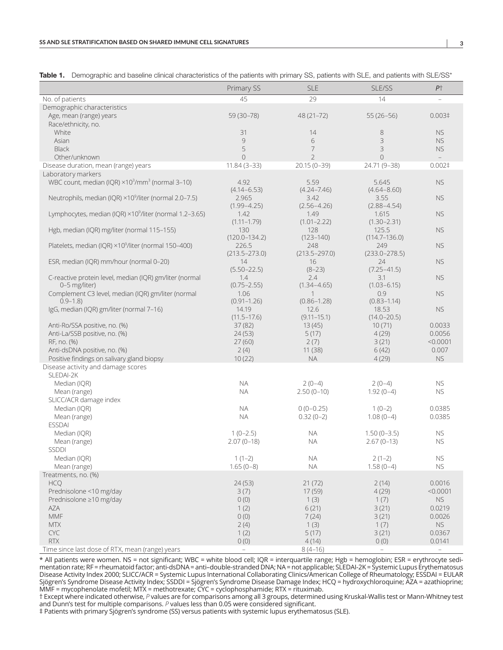|                                                                                  | Primary SS              | <b>SLE</b>              | SLE/SS                   | $P+$                     |
|----------------------------------------------------------------------------------|-------------------------|-------------------------|--------------------------|--------------------------|
| No. of patients                                                                  | 45                      | 29                      | 14                       | $\sim$                   |
| Demographic characteristics                                                      |                         |                         |                          |                          |
| Age, mean (range) years                                                          | 59 (30-78)              | 48 (21-72)              | $55(26-56)$              | 0.003 <sup>‡</sup>       |
| Race/ethnicity, no.                                                              |                         |                         |                          |                          |
| White                                                                            | 31                      | 14                      | 8                        | <b>NS</b>                |
| Asian                                                                            | $\mathcal{G}$           | 6                       | 3                        | <b>NS</b>                |
| <b>Black</b>                                                                     | 5                       | 7                       | $\mathsf 3$              | <b>NS</b>                |
| Other/unknown                                                                    | $\overline{0}$          | $\overline{2}$          | $\overline{0}$           | $\overline{\phantom{0}}$ |
| Disease duration, mean (range) years                                             | $11.84(3-33)$           | $20.15(0-39)$           | 24.71 (9-38)             | 0.002 <sup>‡</sup>       |
| Laboratory markers                                                               |                         |                         |                          |                          |
| WBC count, median (IQR) ×10 <sup>3</sup> /mm <sup>3</sup> (normal 3-10)          | 4.92                    | 5.59                    | 5.645                    | <b>NS</b>                |
|                                                                                  | $(4.14 - 6.53)$         | $(4.24 - 7.46)$         | $(4.64 - 8.60)$          |                          |
| Neutrophils, median (IQR) $\times$ 10 <sup>9</sup> /liter (normal 2.0–7.5)       | 2.965                   | 3.42                    | 3.55                     | <b>NS</b>                |
|                                                                                  | $(1.99 - 4.25)$         | $(2.56 - 4.26)$         | $(2.88 - 4.54)$          |                          |
| Lymphocytes, median (IQR) $\times$ 10 <sup>9</sup> /liter (normal 1.2-3.65)      | 1.42<br>$(1.11 - 1.79)$ | 1.49<br>$(1.01 - 2.22)$ | 1.615                    | <b>NS</b>                |
| Hgb, median (IQR) mg/liter (normal 115-155)                                      | 130                     | 128                     | $(1.30 - 2.31)$<br>125.5 | <b>NS</b>                |
|                                                                                  | $(120.0 - 134.2)$       | $(123 - 140)$           | $(114.7 - 136.0)$        |                          |
| Platelets, median (IQR) ×10 <sup>9</sup> /liter (normal 150-400)                 | 226.5                   | 248                     | 249                      | <b>NS</b>                |
|                                                                                  | $(213.5 - 273.0)$       | $(213.5 - 297.0)$       | $(233.0 - 278.5)$        |                          |
| ESR, median (IQR) mm/hour (normal 0-20)                                          | 14                      | 16                      | 24                       | <b>NS</b>                |
|                                                                                  | $(5.50 - 22.5)$         | $(8-23)$                | $(7.25 - 41.5)$          |                          |
| C-reactive protein level, median (IQR) gm/liter (normal                          | 1.4                     | 2.4                     | 3.1                      | <b>NS</b>                |
| 0-5 mg/liter)                                                                    | $(0.75 - 2.55)$         | $(1.34 - 4.65)$         | $(1.03 - 6.15)$          |                          |
| Complement C3 level, median (IQR) gm/liter (normal                               | 1.06                    | $\mathbf{1}$            | 0.9                      | <b>NS</b>                |
| $0.9 - 1.8$                                                                      | $(0.91 - 1.26)$         | $(0.86 - 1.28)$         | $(0.83 - 1.14)$          |                          |
| IgG, median (IQR) gm/liter (normal 7-16)                                         | 14.19                   | 12.6                    | 18.53                    | <b>NS</b>                |
|                                                                                  | $(11.5 - 17.6)$         | $(9.11 - 15.1)$         | $(14.0 - 20.5)$          |                          |
| Anti-Ro/SSA positive, no. (%)                                                    | 37(82)                  | 13(45)                  | 10(71)                   | 0.0033                   |
| Anti-La/SSB positive, no. (%)                                                    | 24(53)                  | 5(17)                   | 4(29)                    | 0.0056                   |
| RF, no. (%)                                                                      | 27(60)                  | 2(7)                    | 3(21)                    | < 0.0001                 |
| Anti-dsDNA positive, no. (%)                                                     | 2(4)                    | 11 (38)<br><b>NA</b>    | 6(42)                    | 0.007<br><b>NS</b>       |
| Positive findings on salivary gland biopsy<br>Disease activity and damage scores | 10(22)                  |                         | 4(29)                    |                          |
| SLEDAI-2K                                                                        |                         |                         |                          |                          |
| Median (IQR)                                                                     | <b>NA</b>               | $2(0-4)$                | $2(0-4)$                 | <b>NS</b>                |
| Mean (range)                                                                     | <b>NA</b>               | $2.50(0-10)$            | $1.92(0-4)$              | <b>NS</b>                |
| SLICC/ACR damage index                                                           |                         |                         |                          |                          |
| Median (IOR)                                                                     | <b>NA</b>               | $0(0-0.25)$             | $1(0-2)$                 | 0.0385                   |
| Mean (range)                                                                     | <b>NA</b>               | $0.32(0-2)$             | $1.08(0-4)$              | 0.0385                   |
| <b>ESSDAI</b>                                                                    |                         |                         |                          |                          |
| Median (IQR)                                                                     | $1(0-2.5)$              | <b>NA</b>               | $1.50(0-3.5)$            | <b>NS</b>                |
| Mean (range)                                                                     | $2.07(0-18)$            | <b>NA</b>               | $2.67(0-13)$             | <b>NS</b>                |
| SSDDI                                                                            |                         |                         |                          |                          |
| Median (IQR)                                                                     | $1(1-2)$                | <b>NA</b>               | $2(1-2)$                 | <b>NS</b>                |
| Mean (range)                                                                     | $1.65(0-8)$             | <b>NA</b>               | $1.58(0-4)$              | <b>NS</b>                |
| Treatments, no. (%)                                                              |                         |                         |                          |                          |
| <b>HCQ</b>                                                                       | 24(53)                  | 21(72)                  | 2(14)                    | 0.0016                   |
| Prednisolone <10 mg/day                                                          | 3(7)                    | 17(59)                  | 4(29)                    | < 0.0001                 |
| Prednisolone ≥10 mg/day                                                          | 0(0)                    | 1(3)                    | 1(7)                     | <b>NS</b>                |
| <b>AZA</b>                                                                       | 1(2)                    | 6(21)                   | 3(21)                    | 0.0219                   |
| <b>MMF</b>                                                                       | 0(0)                    | 7(24)                   | 3(21)                    | 0.0026                   |
| <b>MTX</b>                                                                       | 2(4)                    | 1(3)                    | 1(7)                     | <b>NS</b>                |
| CYC                                                                              | 1(2)                    | 5(17)                   | 3(21)                    | 0.0367                   |
| RTX                                                                              | 0(0)                    | 4(14)                   | 0(0)                     | 0.0141                   |
| Time since last dose of RTX, mean (range) years                                  | $\equiv$                | $8(4-16)$               |                          | $\equiv$                 |

Table 1. Demographic and baseline clinical characteristics of the patients with primary SS, patients with SLE, and patients with SLE/SS\*

\* All patients were women. NS = not significant; WBC = white blood cell; IQR = interquartile range; Hgb = hemoglobin; ESR = erythrocyte sedimentation rate; RF = rheumatoid factor; anti-dsDNA = anti-double-stranded DNA; NA = not applicable; SLEDAI-2K = Systemic Lupus Erythematosus Disease Activity Index 2000; SLICC/ACR = Systemic Lupus International Collaborating Clinics/American College of Rheumatology; ESSDAI = EULAR Sjögren's Syndrome Disease Activity Index; SSDDI = Sjögren's Syndrome Disease Damage Index; HCQ = hydroxychloroquine; AZA = azathioprine; MMF = mycophenolate mofetil; MTX = methotrexate; CYC = cyclophosphamide; RTX = rituximab.

† Except where indicated otherwise, *P* values are for comparisons among all 3 groups, determined using Kruskal-Wallis test or Mann-Whitney test and Dunn's test for multiple comparisons. *P* values less than 0.05 were considered significant.

‡ Patients with primary Sjögren's syndrome (SS) versus patients with systemic lupus erythematosus (SLE).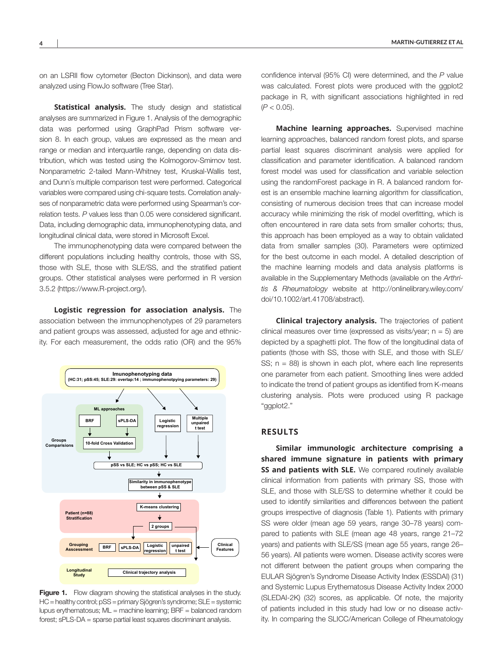on an LSRII flow cytometer (Becton Dickinson), and data were analyzed using FlowJo software (Tree Star).

**Statistical analysis.** The study design and statistical analyses are summarized in Figure 1. Analysis of the demographic data was performed using GraphPad Prism software version 8. In each group, values are expressed as the mean and range or median and interquartile range, depending on data distribution, which was tested using the Kolmogorov-Smirnov test. Nonparametric 2-tailed Mann-Whitney test, Kruskal-Wallis test, and Dunn´s multiple comparison test were performed. Categorical variables were compared using chi-square tests. Correlation analyses of nonparametric data were performed using Spearman's correlation tests. *P* values less than 0.05 were considered significant. Data, including demographic data, immunophenotyping data, and longitudinal clinical data, were stored in Microsoft Excel.

The immunophenotyping data were compared between the different populations including healthy controls, those with SS, those with SLE, those with SLE/SS, and the stratified patient groups. Other statistical analyses were performed in R version 3.5.2 [\(https://www.R-project.org/](https://www.R-project.org/)).

**Logistic regression for association analysis.** The association between the immunophenotypes of 29 parameters and patient groups was assessed, adjusted for age and ethnicity. For each measurement, the odds ratio (OR) and the 95%



Figure 1. Flow diagram showing the statistical analyses in the study. HC = healthy control; pSS = primary Sjögren's syndrome; SLE = systemic lupus erythematosus; ML = machine learning; BRF = balanced random forest; sPLS-DA = sparse partial least squares discriminant analysis.

confidence interval (95% CI) were determined, and the *P* value was calculated. Forest plots were produced with the ggplot2 package in R, with significant associations highlighted in red (*P* < 0.05).

**Machine learning approaches.** Supervised machine learning approaches, balanced random forest plots, and sparse partial least squares discriminant analysis were applied for classification and parameter identification. A balanced random forest model was used for classification and variable selection using the randomForest package in R. A balanced random forest is an ensemble machine learning algorithm for classification, consisting of numerous decision trees that can increase model accuracy while minimizing the risk of model overfitting, which is often encountered in rare data sets from smaller cohorts; thus, this approach has been employed as a way to obtain validated data from smaller samples (30). Parameters were optimized for the best outcome in each model. A detailed description of the machine learning models and data analysis platforms is available in the Supplementary Methods (available on the *Arthritis & Rheumatology* website at [http://onlinelibrary.wiley.com/](http://onlinelibrary.wiley.com/doi/10.1002/art.41708/abstract) [doi/10.1002/art.41708/abstract](http://onlinelibrary.wiley.com/doi/10.1002/art.41708/abstract)).

**Clinical trajectory analysis.** The trajectories of patient clinical measures over time (expressed as visits/year;  $n = 5$ ) are depicted by a spaghetti plot. The flow of the longitudinal data of patients (those with SS, those with SLE, and those with SLE/ SS;  $n = 88$ ) is shown in each plot, where each line represents one parameter from each patient. Smoothing lines were added to indicate the trend of patient groups as identified from K-means clustering analysis. Plots were produced using R package "ggplot2."

#### **RESULTS**

**Similar immunologic architecture comprising a shared immune signature in patients with primary SS and patients with SLE.** We compared routinely available clinical information from patients with primary SS, those with SLE, and those with SLE/SS to determine whether it could be used to identify similarities and differences between the patient groups irrespective of diagnosis (Table 1). Patients with primary SS were older (mean age 59 years, range 30–78 years) compared to patients with SLE (mean age 48 years, range 21–72 years) and patients with SLE/SS (mean age 55 years, range 26– 56 years). All patients were women. Disease activity scores were not different between the patient groups when comparing the EULAR Sjögren's Syndrome Disease Activity Index (ESSDAI) (31) and Systemic Lupus Erythematosus Disease Activity Index 2000 (SLEDAI-2K) (32) scores, as applicable. Of note, the majority of patients included in this study had low or no disease activity. In comparing the SLICC/American College of Rheumatology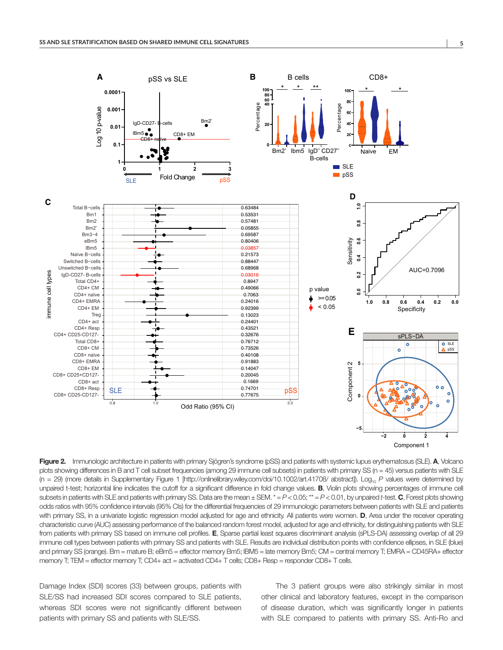

Figure 2. Immunologic architecture in patients with primary Sjögren's syndrome (pSS) and patients with systemic lupus erythematosus (SLE). A, Volcano plots showing differences in B and T cell subset frequencies (among 29 immune cell subsets) in patients with primary SS (n = 45) versus patients with SLE (n = 29) (more details in Supplementary Figure 1 [\[http://onlinelibrary.wiley.com/doi/10.1002/art.41708/ abstract\]](http://onlinelibrary.wiley.com/doi/10.1002/art.41708/abstract)). Log10 *P* values were determined by unpaired t-test; horizontal line indicates the cutoff for a significant difference in fold change values. **B**, Violin plots showing percentages of immune cell subsets in patients with SLE and patients with primary SS. Data are the mean  $\pm$  SEM.  $* = P < 0.05$ ;  $* = P < 0.01$ , by unpaired *t*-test. C, Forest plots showing odds ratios with 95% confidence intervals (95% CIs) for the differential frequencies of 29 immunologic parameters between patients with SLE and patients with primary SS, in a univariate logistic regression model adjusted for age and ethnicity. All patients were women. D, Area under the receiver operating characteristic curve (AUC) assessing performance of the balanced random forest model, adjusted for age and ethnicity, for distinguishing patients with SLE from patients with primary SS based on immune cell profiles. E, Sparse partial least squares discriminant analysis (sPLS-DA) assessing overlap of all 29 immune cell types between patients with primary SS and patients with SLE. Results are individual distribution points with confidence ellipses, in SLE (blue) and primary SS (orange). Bm = mature B; eBm5 = effector memory Bm5; lBM5 = late memory Bm5; CM = central memory T; EMRA = CD45RA+ effector memory T; TEM = effector memory T; CD4+ act = activated CD4+ T cells; CD8+ Resp = responder CD8+ T cells.

Damage Index (SDI) scores (33) between groups, patients with SLE/SS had increased SDI scores compared to SLE patients, whereas SDI scores were not significantly different between patients with primary SS and patients with SLE/SS.

The 3 patient groups were also strikingly similar in most other clinical and laboratory features, except in the comparison of disease duration, which was significantly longer in patients with SLE compared to patients with primary SS. Anti-Ro and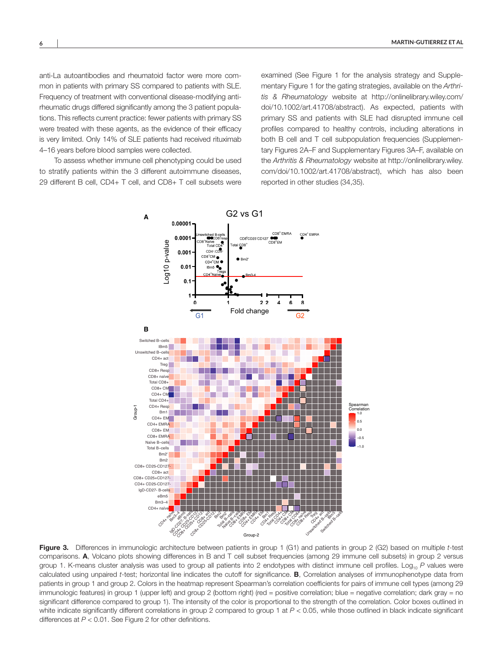anti-La autoantibodies and rheumatoid factor were more common in patients with primary SS compared to patients with SLE. Frequency of treatment with conventional disease-modifying antirheumatic drugs differed significantly among the 3 patient populations. This reflects current practice: fewer patients with primary SS were treated with these agents, as the evidence of their efficacy is very limited. Only 14% of SLE patients had received rituximab 4–16 years before blood samples were collected.

To assess whether immune cell phenotyping could be used to stratify patients within the 3 different autoimmune diseases, 29 different B cell, CD4+ T cell, and CD8+ T cell subsets were

examined (See Figure 1 for the analysis strategy and Supplementary Figure 1 for the gating strategies, available on the *Arthritis & Rheumatology* website at [http://onlinelibrary.wiley.com/](http://onlinelibrary.wiley.com/doi/10.1002/art.41708/abstract) [doi/10.1002/art.41708/abstract](http://onlinelibrary.wiley.com/doi/10.1002/art.41708/abstract)). As expected, patients with primary SS and patients with SLE had disrupted immune cell profiles compared to healthy controls, including alterations in both B cell and T cell subpopulation frequencies (Supplementary Figures 2A–F and Supplementary Figures 3A–F, available on the *Arthritis & Rheumatology* website at [http://onlinelibrary.wiley.](http://onlinelibrary.wiley.com/doi/10.1002/art.41708/abstract) [com/doi/10.1002/art.41708/abstract](http://onlinelibrary.wiley.com/doi/10.1002/art.41708/abstract)), which has also been reported in other studies (34,35).



Figure 3. Differences in immunologic architecture between patients in group 1 (G1) and patients in group 2 (G2) based on multiple *t*-test comparisons. A, Volcano plots showing differences in B and T cell subset frequencies (among 29 immune cell subsets) in group 2 versus group 1. K-means cluster analysis was used to group all patients into 2 endotypes with distinct immune cell profiles. Log<sub>10</sub> P values were calculated using unpaired *t*-test; horizontal line indicates the cutoff for significance. B, Correlation analyses of immunophenotype data from patients in group 1 and group 2. Colors in the heatmap represent Spearman's correlation coefficients for pairs of immune cell types (among 29 immunologic features) in group 1 (upper left) and group 2 (bottom right) (red = positive correlation; blue = negative correlation; dark gray = no significant difference compared to group 1). The intensity of the color is proportional to the strength of the correlation. Color boxes outlined in white indicate significantly different correlations in group 2 compared to group 1 at  $P < 0.05$ , while those outlined in black indicate significant differences at *P* < 0.01. See Figure 2 for other definitions.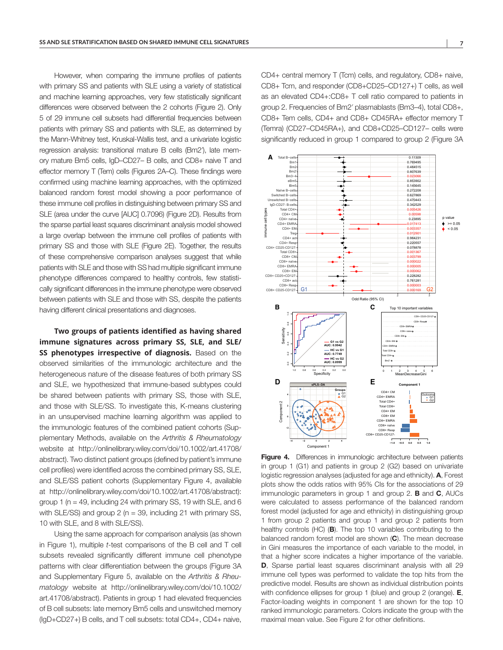However, when comparing the immune profiles of patients with primary SS and patients with SLE using a variety of statistical and machine learning approaches, very few statistically significant differences were observed between the 2 cohorts (Figure 2). Only 5 of 29 immune cell subsets had differential frequencies between patients with primary SS and patients with SLE, as determined by the Mann-Whitney test, Kruskal-Wallis test, and a univariate logistic regression analysis: transitional mature B cells (Bm2′), late memory mature Bm5 cells, IgD–CD27– B cells, and CD8+ naive T and effector memory T (Tem) cells (Figures 2A–C). These findings were confirmed using machine learning approaches, with the optimized balanced random forest model showing a poor performance of these immune cell profiles in distinguishing between primary SS and SLE (area under the curve [AUC] 0.7096) (Figure 2D). Results from the sparse partial least squares discriminant analysis model showed a large overlap between the immune cell profiles of patients with primary SS and those with SLE (Figure 2E). Together, the results of these comprehensive comparison analyses suggest that while patients with SLE and those with SS had multiple significant immune phenotype differences compared to healthy controls, few statistically significant differences in the immune phenotype were observed between patients with SLE and those with SS, despite the patients having different clinical presentations and diagnoses.

**Two groups of patients identified as having shared immune signatures across primary SS, SLE, and SLE/ SS phenotypes irrespective of diagnosis.** Based on the observed similarities of the immunologic architecture and the heterogeneous nature of the disease features of both primary SS and SLE, we hypothesized that immune-based subtypes could be shared between patients with primary SS, those with SLE, and those with SLE/SS. To investigate this, K-means clustering in an unsupervised machine learning algorithm was applied to the immunologic features of the combined patient cohorts (Supplementary Methods, available on the *Arthritis & Rheumatology* website at [http://onlinelibrary.wiley.com/doi/10.1002/art.41708/](http://onlinelibrary.wiley.com/doi/10.1002/art.41708/abstract) [abstract\)](http://onlinelibrary.wiley.com/doi/10.1002/art.41708/abstract). Two distinct patient groups (defined by patient's immune cell profiles) were identified across the combined primary SS, SLE, and SLE/SS patient cohorts (Supplementary Figure 4, available at <http://onlinelibrary.wiley.com/doi/10.1002/art.41708/abstract>): group 1 ( $n = 49$ , including 24 with primary SS, 19 with SLE, and 6 with SLE/SS) and group 2 (n = 39, including 21 with primary SS, 10 with SLE, and 8 with SLE/SS).

Using the same approach for comparison analysis (as shown in Figure 1), multiple *t*-test comparisons of the B cell and T cell subsets revealed significantly different immune cell phenotype patterns with clear differentiation between the groups (Figure 3A and Supplementary Figure 5, available on the *Arthritis & Rheumatology* website at [http://onlinelibrary.wiley.com/doi/10.1002/](http://onlinelibrary.wiley.com/doi/10.1002/art.41708/abstract) [art.41708/abstract\)](http://onlinelibrary.wiley.com/doi/10.1002/art.41708/abstract). Patients in group 1 had elevated frequencies of B cell subsets: late memory Bm5 cells and unswitched memory (IgD+CD27+) B cells, and T cell subsets: total CD4+, CD4+ naive,

CD4+ central memory T (Tcm) cells, and regulatory, CD8+ naive, CD8+ Tcm, and responder (CD8+CD25–CD127+) T cells, as well as an elevated CD4+:CD8+ T cell ratio compared to patients in group 2. Frequencies of Bm2′ plasmablasts (Bm3–4), total CD8+, CD8+ Tem cells, CD4+ and CD8+ CD45RA+ effector memory T (Temra) (CD27–CD45RA+), and CD8+CD25–CD127– cells were significantly reduced in group 1 compared to group 2 (Figure 3A



Figure 4. Differences in immunologic architecture between patients in group 1 (G1) and patients in group 2 (G2) based on univariate logistic regression analyses (adjusted for age and ethnicity). A, Forest plots show the odds ratios with 95% CIs for the associations of 29 immunologic parameters in group 1 and group 2.  $\bf{B}$  and  $\bf{C}$ , AUCs were calculated to assess performance of the balanced random forest model (adjusted for age and ethnicity) in distinguishing group 1 from group 2 patients and group 1 and group 2 patients from healthy controls (HC) (**B**). The top 10 variables contributing to the balanced random forest model are shown (C). The mean decrease in Gini measures the importance of each variable to the model, in that a higher score indicates a higher importance of the variable. **D.** Sparse partial least squares discriminant analysis with all 29 immune cell types was performed to validate the top hits from the predictive model. Results are shown as individual distribution points with confidence ellipses for group 1 (blue) and group 2 (orange). **E**, Factor-loading weights in component 1 are shown for the top 10 ranked immunologic parameters. Colors indicate the group with the maximal mean value. See Figure 2 for other definitions.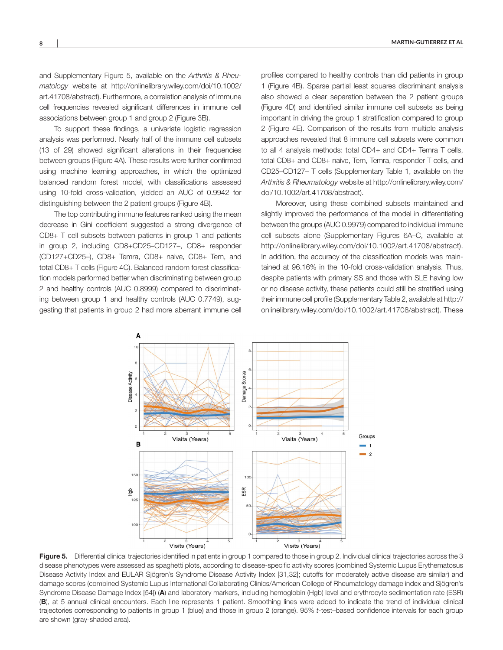and Supplementary Figure 5, available on the *Arthritis & Rheumatology* website at [http://onlinelibrary.wiley.com/doi/10.1002/](http://onlinelibrary.wiley.com/doi/10.1002/art.41708/abstract) [art.41708/abstract\)](http://onlinelibrary.wiley.com/doi/10.1002/art.41708/abstract). Furthermore, a correlation analysis of immune cell frequencies revealed significant differences in immune cell associations between group 1 and group 2 (Figure 3B).

To support these findings, a univariate logistic regression analysis was performed. Nearly half of the immune cell subsets (13 of 29) showed significant alterations in their frequencies between groups (Figure 4A). These results were further confirmed using machine learning approaches, in which the optimized balanced random forest model, with classifications assessed using 10-fold cross-validation, yielded an AUC of 0.9942 for distinguishing between the 2 patient groups (Figure 4B).

The top contributing immune features ranked using the mean decrease in Gini coefficient suggested a strong divergence of CD8+ T cell subsets between patients in group 1 and patients in group 2, including CD8+CD25–CD127–, CD8+ responder (CD127+CD25–), CD8+ Temra, CD8+ naive, CD8+ Tem, and total CD8+ T cells (Figure 4C). Balanced random forest classification models performed better when discriminating between group 2 and healthy controls (AUC 0.8999) compared to discriminating between group 1 and healthy controls (AUC 0.7749), suggesting that patients in group 2 had more aberrant immune cell

profiles compared to healthy controls than did patients in group 1 (Figure 4B). Sparse partial least squares discriminant analysis also showed a clear separation between the 2 patient groups (Figure 4D) and identified similar immune cell subsets as being important in driving the group 1 stratification compared to group 2 (Figure 4E). Comparison of the results from multiple analysis approaches revealed that 8 immune cell subsets were common to all 4 analysis methods: total CD4+ and CD4+ Temra T cells, total CD8+ and CD8+ naive, Tem, Temra, responder T cells, and CD25–CD127– T cells (Supplementary Table 1, available on the *Arthritis & Rheumatology* website at [http://onlinelibrary.wiley.com/](http://onlinelibrary.wiley.com/doi/10.1002/art.41708/abstract) [doi/10.1002/art.41708/abstract](http://onlinelibrary.wiley.com/doi/10.1002/art.41708/abstract)).

Moreover, using these combined subsets maintained and slightly improved the performance of the model in differentiating between the groups (AUC 0.9979) compared to individual immune cell subsets alone (Supplementary Figures 6A–C, available at <http://onlinelibrary.wiley.com/doi/10.1002/art.41708/abstract>). In addition, the accuracy of the classification models was maintained at 96.16% in the 10-fold cross-validation analysis. Thus, despite patients with primary SS and those with SLE having low or no disease activity, these patients could still be stratified using their immune cell profile (Supplementary Table 2, available at [http://](http://onlinelibrary.wiley.com/doi/10.1002/art.41708/abstract) [onlinelibrary.wiley.com/doi/10.1002/art.41708/abstract](http://onlinelibrary.wiley.com/doi/10.1002/art.41708/abstract)). These



Figure 5. Differential clinical trajectories identified in patients in group 1 compared to those in group 2. Individual clinical trajectories across the 3 disease phenotypes were assessed as spaghetti plots, according to disease-specific activity scores (combined Systemic Lupus Erythematosus Disease Activity Index and EULAR Sjögren's Syndrome Disease Activity Index [31,32]; cutoffs for moderately active disease are similar) and damage scores (combined Systemic Lupus International Collaborating Clinics/American College of Rheumatology damage index and Sjögren's Syndrome Disease Damage Index [54]) (A) and laboratory markers, including hemoglobin (Hgb) level and erythrocyte sedimentation rate (ESR) (B), at 5 annual clinical encounters. Each line represents 1 patient. Smoothing lines were added to indicate the trend of individual clinical trajectories corresponding to patients in group 1 (blue) and those in group 2 (orange). 95% *t*-test–based confidence intervals for each group are shown (gray-shaded area).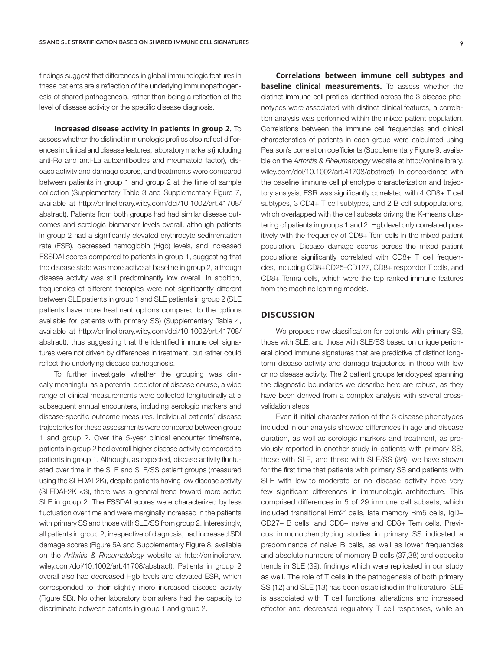findings suggest that differences in global immunologic features in these patients are a reflection of the underlying immunopathogenesis of shared pathogenesis, rather than being a reflection of the level of disease activity or the specific disease diagnosis.

**Increased disease activity in patients in group 2.** To assess whether the distinct immunologic profiles also reflect differences in clinical and disease features, laboratory markers (including anti-Ro and anti-La autoantibodies and rheumatoid factor), disease activity and damage scores, and treatments were compared between patients in group 1 and group 2 at the time of sample collection (Supplementary Table 3 and Supplementary Figure 7, available at [http://onlinelibrary.wiley.com/doi/10.1002/art.41708/](http://onlinelibrary.wiley.com/doi/10.1002/art.41708/abstract) [abstract\)](http://onlinelibrary.wiley.com/doi/10.1002/art.41708/abstract). Patients from both groups had had similar disease outcomes and serologic biomarker levels overall, although patients in group 2 had a significantly elevated erythrocyte sedimentation rate (ESR), decreased hemoglobin (Hgb) levels, and increased ESSDAI scores compared to patients in group 1, suggesting that the disease state was more active at baseline in group 2, although disease activity was still predominantly low overall. In addition, frequencies of different therapies were not significantly different between SLE patients in group 1 and SLE patients in group 2 (SLE patients have more treatment options compared to the options available for patients with primary SS) (Supplementary Table 4, available at [http://onlinelibrary.wiley.com/doi/10.1002/art.41708/](http://onlinelibrary.wiley.com/doi/10.1002/art.41708/abstract) [abstract\)](http://onlinelibrary.wiley.com/doi/10.1002/art.41708/abstract), thus suggesting that the identified immune cell signatures were not driven by differences in treatment, but rather could reflect the underlying disease pathogenesis.

To further investigate whether the grouping was clinically meaningful as a potential predictor of disease course, a wide range of clinical measurements were collected longitudinally at 5 subsequent annual encounters, including serologic markers and disease-specific outcome measures. Individual patients' disease trajectories for these assessments were compared between group 1 and group 2. Over the 5-year clinical encounter timeframe, patients in group 2 had overall higher disease activity compared to patients in group 1. Although, as expected, disease activity fluctuated over time in the SLE and SLE/SS patient groups (measured using the SLEDAI-2K), despite patients having low disease activity (SLEDAI-2K <3), there was a general trend toward more active SLE in group 2. The ESSDAI scores were characterized by less fluctuation over time and were marginally increased in the patients with primary SS and those with SLE/SS from group 2. Interestingly, all patients in group 2, irrespective of diagnosis, had increased SDI damage scores (Figure 5A and Supplementary Figure 8, available on the *Arthritis & Rheumatology* website at [http://onlinelibrary.](http://onlinelibrary.wiley.com/doi/10.1002/art.41708/abstract) [wiley.com/doi/10.1002/art.41708/abstract\)](http://onlinelibrary.wiley.com/doi/10.1002/art.41708/abstract). Patients in group 2 overall also had decreased Hgb levels and elevated ESR, which corresponded to their slightly more increased disease activity (Figure 5B). No other laboratory biomarkers had the capacity to discriminate between patients in group 1 and group 2.

**Correlations between immune cell subtypes and baseline clinical measurements.** To assess whether the distinct immune cell profiles identified across the 3 disease phenotypes were associated with distinct clinical features, a correlation analysis was performed within the mixed patient population. Correlations between the immune cell frequencies and clinical characteristics of patients in each group were calculated using Pearson's correlation coefficients (Supplementary Figure 9, available on the *Arthritis & Rheumatology* website at [http://onlinelibrary.](http://onlinelibrary.wiley.com/doi/10.1002/art.41708/abstract) [wiley.com/doi/10.1002/art.41708/abstract\)](http://onlinelibrary.wiley.com/doi/10.1002/art.41708/abstract). In concordance with the baseline immune cell phenotype characterization and trajectory analysis, ESR was significantly correlated with 4 CD8+ T cell subtypes, 3 CD4+ T cell subtypes, and 2 B cell subpopulations, which overlapped with the cell subsets driving the K-means clustering of patients in groups 1 and 2. Hgb level only correlated positively with the frequency of CD8+ Tcm cells in the mixed patient population. Disease damage scores across the mixed patient populations significantly correlated with CD8+ T cell frequencies, including CD8+CD25–CD127, CD8+ responder T cells, and CD8+ Temra cells, which were the top ranked immune features from the machine learning models.

#### **DISCUSSION**

We propose new classification for patients with primary SS, those with SLE, and those with SLE/SS based on unique peripheral blood immune signatures that are predictive of distinct longterm disease activity and damage trajectories in those with low or no disease activity. The 2 patient groups (endotypes) spanning the diagnostic boundaries we describe here are robust, as they have been derived from a complex analysis with several crossvalidation steps.

Even if initial characterization of the 3 disease phenotypes included in our analysis showed differences in age and disease duration, as well as serologic markers and treatment, as previously reported in another study in patients with primary SS, those with SLE, and those with SLE/SS (36), we have shown for the first time that patients with primary SS and patients with SLE with low-to-moderate or no disease activity have very few significant differences in immunologic architecture. This comprised differences in 5 of 29 immune cell subsets, which included transitional Bm2′ cells, late memory Bm5 cells, IgD– CD27– B cells, and CD8+ naive and CD8+ Tem cells. Previous immunophenotyping studies in primary SS indicated a predominance of naive B cells, as well as lower frequencies and absolute numbers of memory B cells (37,38) and opposite trends in SLE (39), findings which were replicated in our study as well. The role of T cells in the pathogenesis of both primary SS (12) and SLE (13) has been established in the literature. SLE is associated with T cell functional alterations and increased effector and decreased regulatory T cell responses, while an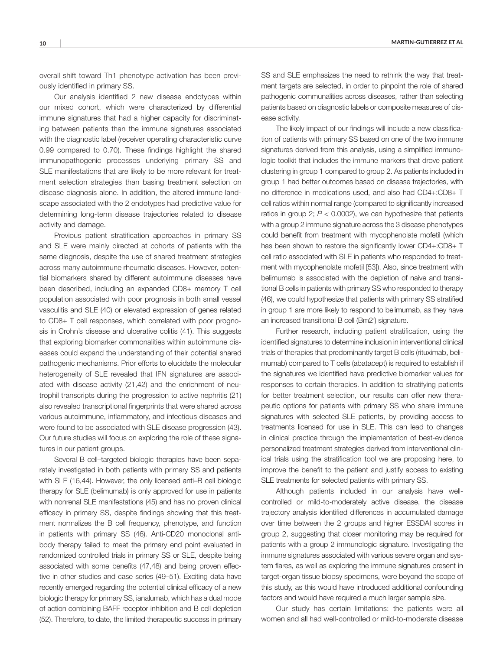overall shift toward Th1 phenotype activation has been previously identified in primary SS.

Our analysis identified 2 new disease endotypes within our mixed cohort, which were characterized by differential immune signatures that had a higher capacity for discriminating between patients than the immune signatures associated with the diagnostic label (receiver operating characteristic curve 0.99 compared to 0.70). These findings highlight the shared immunopathogenic processes underlying primary SS and SLE manifestations that are likely to be more relevant for treatment selection strategies than basing treatment selection on disease diagnosis alone. In addition, the altered immune landscape associated with the 2 endotypes had predictive value for determining long-term disease trajectories related to disease activity and damage.

Previous patient stratification approaches in primary SS and SLE were mainly directed at cohorts of patients with the same diagnosis, despite the use of shared treatment strategies across many autoimmune rheumatic diseases. However, potential biomarkers shared by different autoimmune diseases have been described, including an expanded CD8+ memory T cell population associated with poor prognosis in both small vessel vasculitis and SLE (40) or elevated expression of genes related to CD8+ T cell responses, which correlated with poor prognosis in Crohn's disease and ulcerative colitis (41). This suggests that exploring biomarker commonalities within autoimmune diseases could expand the understanding of their potential shared pathogenic mechanisms. Prior efforts to elucidate the molecular heterogeneity of SLE revealed that IFN signatures are associated with disease activity (21,42) and the enrichment of neutrophil transcripts during the progression to active nephritis (21) also revealed transcriptional fingerprints that were shared across various autoimmune, inflammatory, and infectious diseases and were found to be associated with SLE disease progression (43). Our future studies will focus on exploring the role of these signatures in our patient groups.

Several B cell–targeted biologic therapies have been separately investigated in both patients with primary SS and patients with SLE (16,44). However, the only licensed anti–B cell biologic therapy for SLE (belimumab) is only approved for use in patients with nonrenal SLE manifestations (45) and has no proven clinical efficacy in primary SS, despite findings showing that this treatment normalizes the B cell frequency, phenotype, and function in patients with primary SS (46). Anti-CD20 monoclonal antibody therapy failed to meet the primary end point evaluated in randomized controlled trials in primary SS or SLE, despite being associated with some benefits (47,48) and being proven effective in other studies and case series (49–51). Exciting data have recently emerged regarding the potential clinical efficacy of a new biologic therapy for primary SS, ianalumab, which has a dual mode of action combining BAFF receptor inhibition and B cell depletion (52). Therefore, to date, the limited therapeutic success in primary SS and SLE emphasizes the need to rethink the way that treatment targets are selected, in order to pinpoint the role of shared pathogenic communalities across diseases, rather than selecting patients based on diagnostic labels or composite measures of disease activity.

The likely impact of our findings will include a new classification of patients with primary SS based on one of the two immune signatures derived from this analysis, using a simplified immunologic toolkit that includes the immune markers that drove patient clustering in group 1 compared to group 2. As patients included in group 1 had better outcomes based on disease trajectories, with no difference in medications used, and also had CD4+:CD8+ T cell ratios within normal range (compared to significantly increased ratios in group 2;  $P < 0.0002$ ), we can hypothesize that patients with a group 2 immune signature across the 3 disease phenotypes could benefit from treatment with mycophenolate mofetil (which has been shown to restore the significantly lower CD4+:CD8+ T cell ratio associated with SLE in patients who responded to treatment with mycophenolate mofetil [53]). Also, since treatment with belimumab is associated with the depletion of naive and transitional B cells in patients with primary SS who responded to therapy (46), we could hypothesize that patients with primary SS stratified in group 1 are more likely to respond to belimumab, as they have an increased transitional B cell (Bm2′) signature.

Further research, including patient stratification, using the identified signatures to determine inclusion in interventional clinical trials of therapies that predominantly target B cells (rituximab, belimumab) compared to T cells (abatacept) is required to establish if the signatures we identified have predictive biomarker values for responses to certain therapies. In addition to stratifying patients for better treatment selection, our results can offer new therapeutic options for patients with primary SS who share immune signatures with selected SLE patients, by providing access to treatments licensed for use in SLE. This can lead to changes in clinical practice through the implementation of best-evidence personalized treatment strategies derived from interventional clinical trials using the stratification tool we are proposing here, to improve the benefit to the patient and justify access to existing SLE treatments for selected patients with primary SS.

Although patients included in our analysis have wellcontrolled or mild-to-moderately active disease, the disease trajectory analysis identified differences in accumulated damage over time between the 2 groups and higher ESSDAI scores in group 2, suggesting that closer monitoring may be required for patients with a group 2 immunologic signature. Investigating the immune signatures associated with various severe organ and system flares, as well as exploring the immune signatures present in target-organ tissue biopsy specimens, were beyond the scope of this study, as this would have introduced additional confounding factors and would have required a much larger sample size.

Our study has certain limitations: the patients were all women and all had well-controlled or mild-to-moderate disease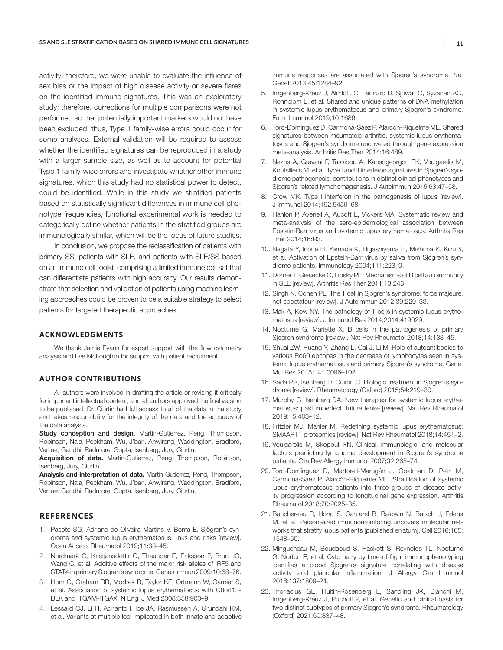activity; therefore, we were unable to evaluate the influence of sex bias or the impact of high disease activity or severe flares on the identified immune signatures. This was an exploratory study; therefore, corrections for multiple comparisons were not performed so that potentially important markers would not have been excluded; thus, Type 1 family-wise errors could occur for some analyses. External validation will be required to assess whether the identified signatures can be reproduced in a study with a larger sample size, as well as to account for potential Type 1 family-wise errors and investigate whether other immune signatures, which this study had no statistical power to detect, could be identified. While in this study we stratified patients based on statistically significant differences in immune cell phenotype frequencies, functional experimental work is needed to categorically define whether patients in the stratified groups are immunologically similar, which will be the focus of future studies.

In conclusion, we propose the reclassification of patients with primary SS, patients with SLE, and patients with SLE/SS based on an immune cell toolkit comprising a limited immune cell set that can differentiate patients with high accuracy. Our results demonstrate that selection and validation of patients using machine learning approaches could be proven to be a suitable strategy to select patients for targeted therapeutic approaches.

#### **ACKNOWLEDGMENTS**

We thank Jamie Evans for expert support with the flow cytometry analysis and Eve McLoughlin for support with patient recruitment.

#### **AUTHOR CONTRIBUTIONS**

All authors were involved in drafting the article or revising it critically for important intellectual content, and all authors approved the final version to be published. Dr. Ciurtin had full access to all of the data in the study and takes responsibility for the integrity of the data and the accuracy of the data analysis.

Study conception and design. Martin-Gutierrez, Peng, Thompson, Robinson, Naja, Peckham, Wu, J'bari, Ahwireng, Waddington, Bradford, Varnier, Gandhi, Radmore, Gupta, Isenberg, Jury, Ciurtin.

Acquisition of data. Martin-Gutierrez, Peng, Thompson, Robinson, Isenberg, Jury, Ciurtin.

Analysis and interpretation of data. Martin-Gutierrez, Peng, Thompson, Robinson, Naja, Peckham, Wu, J'bari, Ahwireng, Waddington, Bradford, Varnier, Gandhi, Radmore, Gupta, Isenberg, Jury, Ciurtin.

## **REFERENCES**

- 1. Pasoto SG, Adriano de Oliveira Martins V, Bonfa E. Sjögren's syndrome and systemic lupus erythematosus: links and risks [review]. Open Access Rheumatol 2019;11:33–45.
- 2. Nordmark G, Kristjansdottir G, Theander E, Eriksson P, Brun JG, Wang C, et al. Additive effects of the major risk alleles of IRF5 and STAT4 in primary Sjogren's syndrome. Genes Immun 2009;10:68–76.
- 3. Hom G, Graham RR, Modrek B, Taylor KE, Ortmann W, Garnier S, et al. Association of systemic lupus erythematosus with C8orf13- BLK and ITGAM-ITGAX. N Engl J Med 2008;358:900–9.
- 4. Lessard CJ, Li H, Adrianto I, Ice JA, Rasmussen A, Grundahl KM, et al. Variants at multiple loci implicated in both innate and adaptive

immune responses are associated with Sjogren's syndrome. Nat Genet 2013;45:1284–92.

- 5. Imgenberg-Kreuz J, Almlof JC, Leonard D, Sjowall C, Syvanen AC, Ronnblom L, et al. Shared and unique patterns of DNA methylation in systemic lupus erythematosus and primary Sjogren's syndrome. Front Immunol 2019;10:1686.
- 6. Toro-Dominguez D, Carmona-Saez P, Alarcon-Riquelme ME. Shared signatures between rheumatoid arthritis, systemic lupus erythematosus and Sjogren's syndrome uncovered through gene expression meta-analysis. Arthritis Res Ther 2014;16:489.
- 7. Nezos A, Gravani F, Tassidou A, Kapsogeorgou EK, Voulgarelis M, Koutsilieris M, et al. Type I and II interferon signatures in Sjogren's syndrome pathogenesis: contributions in distinct clinical phenotypes and Sjogren's related lymphomagenesis. J Autoimmun 2015;63:47–58.
- 8. Crow MK. Type I interferon in the pathogenesis of lupus [review]. J Immunol 2014;192:5459–68.
- 9. Hanlon P, Avenell A, Aucott L, Vickers MA. Systematic review and meta-analysis of the sero-epidemiological association between Epstein-Barr virus and systemic lupus erythematosus. Arthritis Res Ther 2014;16:R3.
- 10. Nagata Y, Inoue H, Yamada K, Higashiyama H, Mishima K, Kizu Y, et al. Activation of Epstein-Barr virus by saliva from Sjogren's syndrome patients. Immunology 2004;111:223–9.
- 11. Dorner T, Giesecke C, Lipsky PE. Mechanisms of B cell autoimmunity in SLE [review]. Arthritis Res Ther 2011;13:243.
- 12. Singh N, Cohen PL. The T cell in Sjogren's syndrome: force majeure, not spectateur [review]. J Autoimmun 2012;39:229–33.
- 13. Mak A, Kow NY. The pathology of T cells in systemic lupus erythematosus [review]. J Immunol Res 2014;2014:419029.
- 14. Nocturne G, Mariette X. B cells in the pathogenesis of primary Sjogren syndrome [review]. Nat Rev Rheumatol 2018;14:133–45.
- 15. Shuai ZW, Huang Y, Zhang L, Cai J, Li M. Role of autoantibodies to various Ro60 epitopes in the decrease of lymphocytes seen in systemic lupus erythematosus and primary Sjogren's syndrome. Genet Mol Res 2015;14:10096–102.
- 16. Sada PR, Isenberg D, Ciurtin C. Biologic treatment in Sjogren's syndrome [review]. Rheumatology (Oxford) 2015;54:219–30.
- 17. Murphy G, Isenberg DA. New therapies for systemic lupus erythematosus: past imperfect, future tense [review]. Nat Rev Rheumatol 2019;15:403–12.
- 18. Fritzler MJ, Mahler M. Redefining systemic lupus erythematosus: SMAARTT proteomics [review]. Nat Rev Rheumatol 2018;14:451–2.
- 19. Voulgarelis M, Skopouli FN. Clinical, immunologic, and molecular factors predicting lymphoma development in Sjogren's syndrome patients. Clin Rev Allergy Immunol 2007;32:265–74.
- 20. Toro-Domínguez D, Martorell-Marugán J, Goldman D, Petri M, Carmona-Sáez P, Alarcón-Riquelme ME. Stratification of systemic lupus erythematosus patients into three groups of disease activity progression according to longitudinal gene expression. Arthritis Rheumatol 2018;70:2025–35.
- 21. Banchereau R, Hong S, Cantarel B, Baldwin N, Baisch J, Edens M, et al. Personalized immunomonitoring uncovers molecular networks that stratify lupus patients [published erratum]. Cell 2016;165: 1548–50.
- 22. Mingueneau M, Boudaoud S, Haskett S, Reynolds TL, Nocturne G, Norton E, et al. Cytometry by time-of-flight immunophenotyping identifies a blood Sjogren's signature correlating with disease activity and glandular inflammation. J Allergy Clin Immunol 2016;137:1809–21.
- 23. Thorlacius GE, Hultin-Rosenberg L, Sandling JK, Bianchi M, Imgenberg-Kreuz J, Pucholt P, et al. Genetic and clinical basis for two distinct subtypes of primary Sjogren's syndrome. Rheumatology (Oxford) 2021;60:837–48.